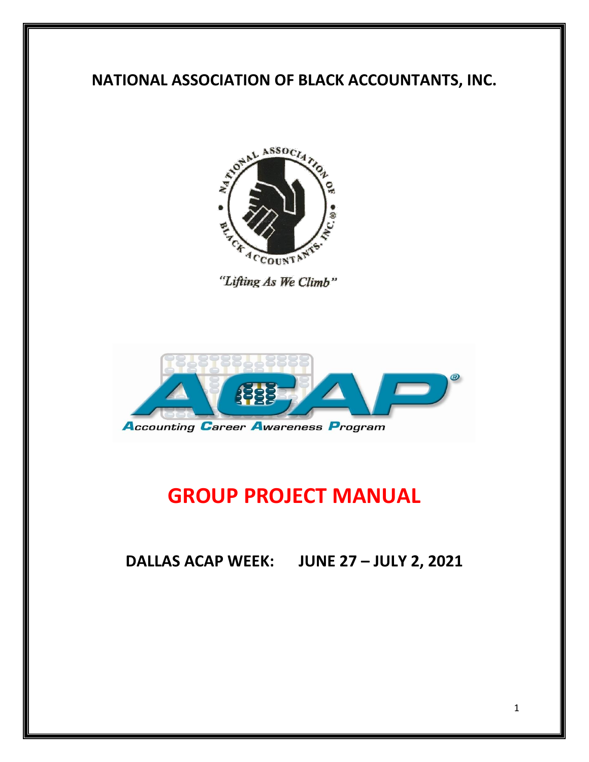# **NATIONAL ASSOCIATION OF BLACK ACCOUNTANTS, INC.**



"Lifting As We Climb"



# **GROUP PROJECT MANUAL**

**DALLAS ACAP WEEK: JUNE 27 – JULY 2, 2021**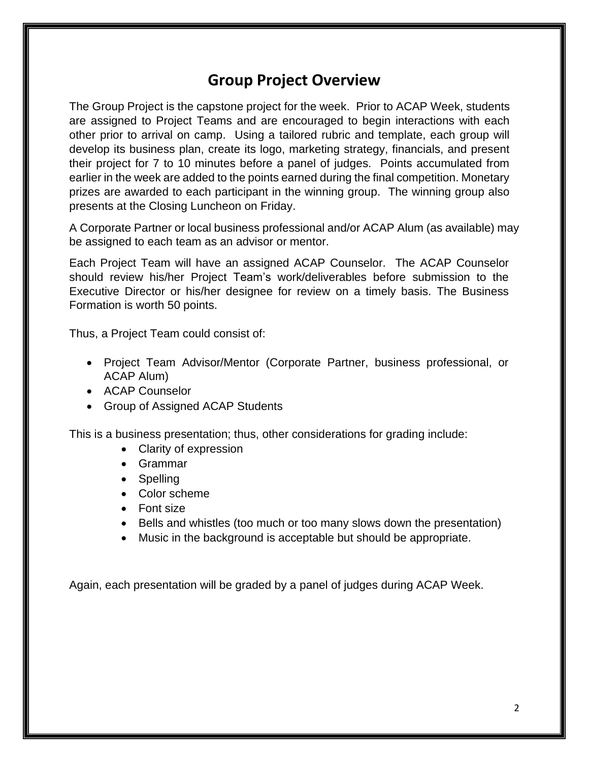#### **Group Project Overview**

The Group Project is the capstone project for the week. Prior to ACAP Week, students are assigned to Project Teams and are encouraged to begin interactions with each other prior to arrival on camp. Using a tailored rubric and template, each group will develop its business plan, create its logo, marketing strategy, financials, and present their project for 7 to 10 minutes before a panel of judges. Points accumulated from earlier in the week are added to the points earned during the final competition. Monetary prizes are awarded to each participant in the winning group. The winning group also presents at the Closing Luncheon on Friday.

A Corporate Partner or local business professional and/or ACAP Alum (as available) may be assigned to each team as an advisor or mentor.

Each Project Team will have an assigned ACAP Counselor. The ACAP Counselor should review his/her Project Team's work/deliverables before submission to the Executive Director or his/her designee for review on a timely basis. The Business Formation is worth 50 points.

Thus, a Project Team could consist of:

- Project Team Advisor/Mentor (Corporate Partner, business professional, or ACAP Alum)
- ACAP Counselor
- Group of Assigned ACAP Students

This is a business presentation; thus, other considerations for grading include:

- Clarity of expression
- Grammar
- Spelling
- Color scheme
- Font size
- Bells and whistles (too much or too many slows down the presentation)
- Music in the background is acceptable but should be appropriate.

Again, each presentation will be graded by a panel of judges during ACAP Week.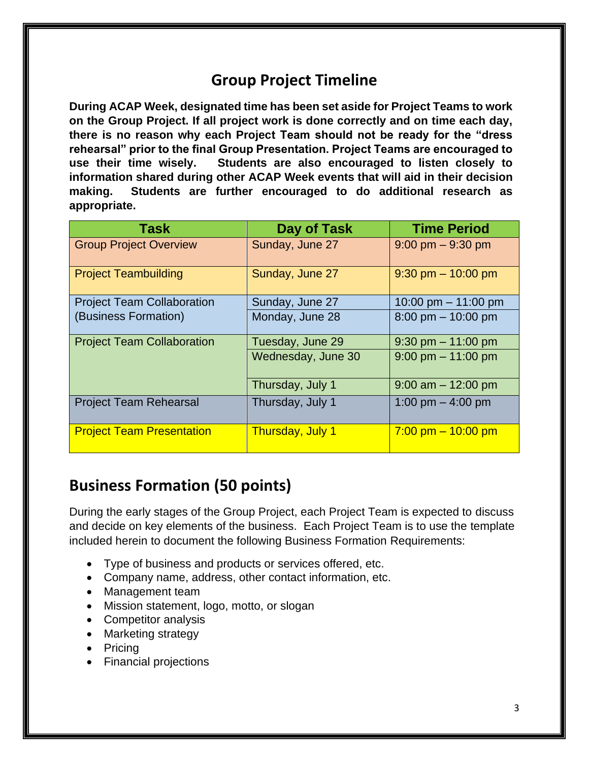#### **Group Project Timeline**

**During ACAP Week, designated time has been set aside for Project Teams to work on the Group Project. If all project work is done correctly and on time each day, there is no reason why each Project Team should not be ready for the "dress rehearsal" prior to the final Group Presentation. Project Teams are encouraged to use their time wisely. Students are also encouraged to listen closely to information shared during other ACAP Week events that will aid in their decision making. Students are further encouraged to do additional research as appropriate.**

| <b>Task</b>                       | Day of Task        | <b>Time Period</b>                   |
|-----------------------------------|--------------------|--------------------------------------|
| <b>Group Project Overview</b>     | Sunday, June 27    | $9:00$ pm $-9:30$ pm                 |
| <b>Project Teambuilding</b>       | Sunday, June 27    | $9:30$ pm $- 10:00$ pm               |
| <b>Project Team Collaboration</b> | Sunday, June 27    | 10:00 pm $-$ 11:00 pm                |
| (Business Formation)              | Monday, June 28    | $8:00 \text{ pm} - 10:00 \text{ pm}$ |
| <b>Project Team Collaboration</b> | Tuesday, June 29   | $9:30$ pm $-11:00$ pm                |
|                                   | Wednesday, June 30 | $9:00$ pm $-11:00$ pm                |
|                                   | Thursday, July 1   | $9:00$ am $-12:00$ pm                |
| <b>Project Team Rehearsal</b>     | Thursday, July 1   | 1:00 pm $-$ 4:00 pm                  |
| <b>Project Team Presentation</b>  | Thursday, July 1   | $7:00$ pm $-10:00$ pm                |

#### **Business Formation (50 points)**

During the early stages of the Group Project, each Project Team is expected to discuss and decide on key elements of the business. Each Project Team is to use the template included herein to document the following Business Formation Requirements:

- Type of business and products or services offered, etc.
- Company name, address, other contact information, etc.
- Management team
- Mission statement, logo, motto, or slogan
- Competitor analysis
- Marketing strategy
- Pricing
- Financial projections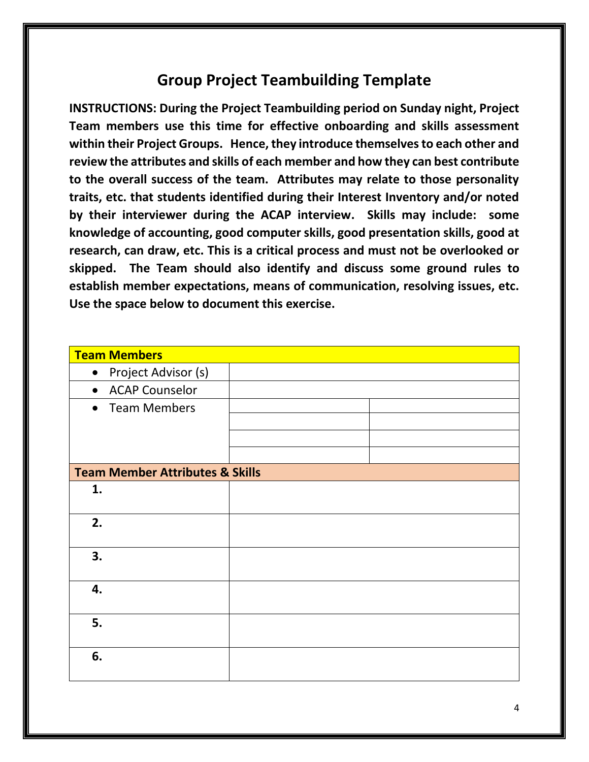## **Group Project Teambuilding Template**

**INSTRUCTIONS: During the Project Teambuilding period on Sunday night, Project Team members use this time for effective onboarding and skills assessment within their Project Groups. Hence, they introduce themselves to each other and review the attributes and skills of each member and how they can best contribute to the overall success of the team. Attributes may relate to those personality traits, etc. that students identified during their Interest Inventory and/or noted by their interviewer during the ACAP interview. Skills may include: some knowledge of accounting, good computer skills, good presentation skills, good at research, can draw, etc. This is a critical process and must not be overlooked or skipped. The Team should also identify and discuss some ground rules to establish member expectations, means of communication, resolving issues, etc. Use the space below to document this exercise.**

| Team Members                               |  |
|--------------------------------------------|--|
| Project Advisor (s)<br>$\bullet$           |  |
| • ACAP Counselor                           |  |
| • Team Members                             |  |
|                                            |  |
|                                            |  |
|                                            |  |
| <b>Team Member Attributes &amp; Skills</b> |  |
| 1.                                         |  |
|                                            |  |
| 2.                                         |  |
|                                            |  |
| 3.                                         |  |
|                                            |  |
| 4.                                         |  |
|                                            |  |
| 5.                                         |  |
|                                            |  |
| 6.                                         |  |
|                                            |  |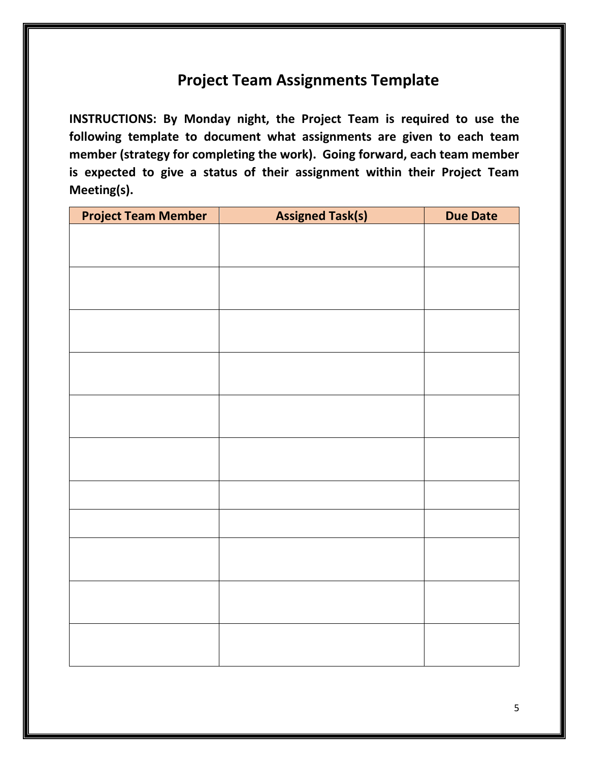## **Project Team Assignments Template**

**INSTRUCTIONS: By Monday night, the Project Team is required to use the following template to document what assignments are given to each team member (strategy for completing the work). Going forward, each team member is expected to give a status of their assignment within their Project Team Meeting(s).**

| <b>Project Team Member</b> | <b>Assigned Task(s)</b> | <b>Due Date</b> |
|----------------------------|-------------------------|-----------------|
|                            |                         |                 |
|                            |                         |                 |
|                            |                         |                 |
|                            |                         |                 |
|                            |                         |                 |
|                            |                         |                 |
|                            |                         |                 |
|                            |                         |                 |
|                            |                         |                 |
|                            |                         |                 |
|                            |                         |                 |
|                            |                         |                 |
|                            |                         |                 |
|                            |                         |                 |
|                            |                         |                 |
|                            |                         |                 |
|                            |                         |                 |
|                            |                         |                 |
|                            |                         |                 |
|                            |                         |                 |
|                            |                         |                 |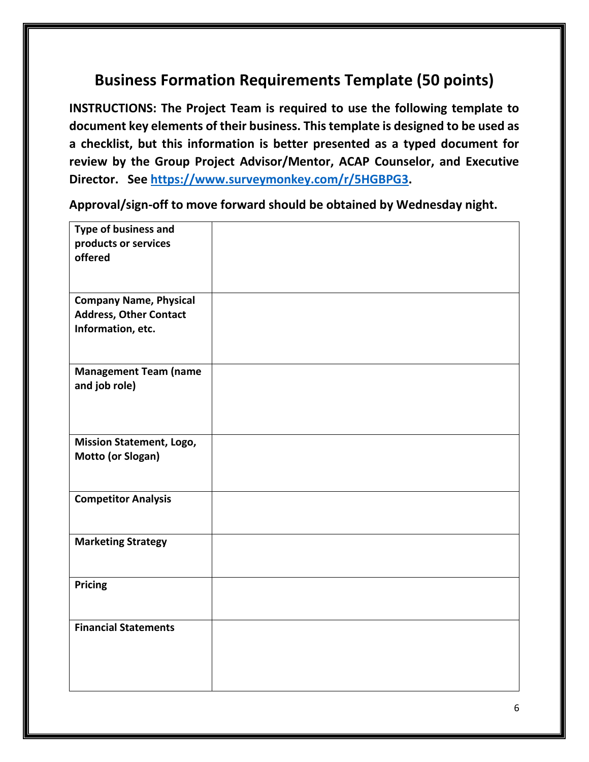# **Business Formation Requirements Template (50 points)**

**INSTRUCTIONS: The Project Team is required to use the following template to document key elements of their business. This template is designed to be used as a checklist, but this information is better presented as a typed document for review by the Group Project Advisor/Mentor, ACAP Counselor, and Executive Director. See [https://www.surveymonkey.com/r/5HGBPG3.](https://www.surveymonkey.com/r/5HGBPG3)**

**Approval/sign-off to move forward should be obtained by Wednesday night.**

| Type of business and<br>products or services<br>offered                             |  |
|-------------------------------------------------------------------------------------|--|
| <b>Company Name, Physical</b><br><b>Address, Other Contact</b><br>Information, etc. |  |
| <b>Management Team (name</b><br>and job role)                                       |  |
| <b>Mission Statement, Logo,</b><br>Motto (or Slogan)                                |  |
| <b>Competitor Analysis</b>                                                          |  |
| <b>Marketing Strategy</b>                                                           |  |
| <b>Pricing</b>                                                                      |  |
| <b>Financial Statements</b>                                                         |  |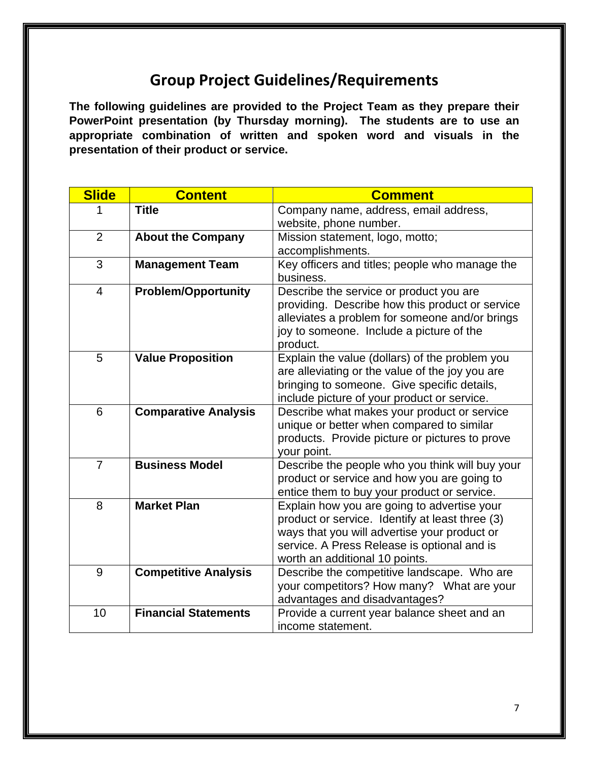## **Group Project Guidelines/Requirements**

**The following guidelines are provided to the Project Team as they prepare their PowerPoint presentation (by Thursday morning). The students are to use an appropriate combination of written and spoken word and visuals in the presentation of their product or service.**

| <b>Slide</b>   | <b>Content</b>              | <b>Comment</b>                                                                                                                                                                                                                  |
|----------------|-----------------------------|---------------------------------------------------------------------------------------------------------------------------------------------------------------------------------------------------------------------------------|
|                | <b>Title</b>                | Company name, address, email address,<br>website, phone number.                                                                                                                                                                 |
| $\overline{2}$ | <b>About the Company</b>    | Mission statement, logo, motto;<br>accomplishments.                                                                                                                                                                             |
| 3              | <b>Management Team</b>      | Key officers and titles; people who manage the<br>business.                                                                                                                                                                     |
| $\overline{4}$ | <b>Problem/Opportunity</b>  | Describe the service or product you are<br>providing. Describe how this product or service<br>alleviates a problem for someone and/or brings<br>joy to someone. Include a picture of the<br>product.                            |
| 5              | <b>Value Proposition</b>    | Explain the value (dollars) of the problem you<br>are alleviating or the value of the joy you are<br>bringing to someone. Give specific details,<br>include picture of your product or service.                                 |
| 6              | <b>Comparative Analysis</b> | Describe what makes your product or service<br>unique or better when compared to similar<br>products. Provide picture or pictures to prove<br>your point.                                                                       |
| $\overline{7}$ | <b>Business Model</b>       | Describe the people who you think will buy your<br>product or service and how you are going to<br>entice them to buy your product or service.                                                                                   |
| 8              | <b>Market Plan</b>          | Explain how you are going to advertise your<br>product or service. Identify at least three (3)<br>ways that you will advertise your product or<br>service. A Press Release is optional and is<br>worth an additional 10 points. |
| 9              | <b>Competitive Analysis</b> | Describe the competitive landscape. Who are<br>your competitors? How many? What are your<br>advantages and disadvantages?                                                                                                       |
| 10             | <b>Financial Statements</b> | Provide a current year balance sheet and an<br>income statement.                                                                                                                                                                |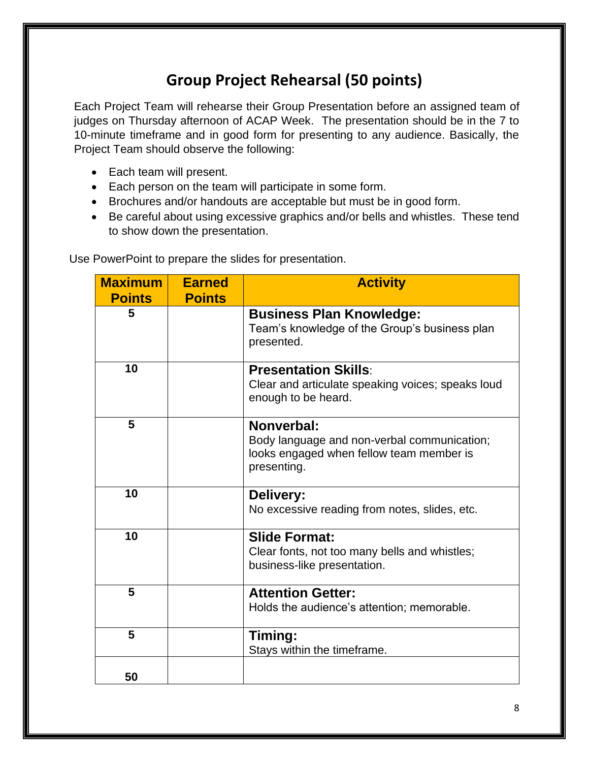# **Group Project Rehearsal (50 points)**

Each Project Team will rehearse their Group Presentation before an assigned team of judges on Thursday afternoon of ACAP Week. The presentation should be in the 7 to 10-minute timeframe and in good form for presenting to any audience. Basically, the Project Team should observe the following:

- Each team will present.
- Each person on the team will participate in some form.
- Brochures and/or handouts are acceptable but must be in good form.
- Be careful about using excessive graphics and/or bells and whistles. These tend to show down the presentation.

| <b>Maximum</b><br><b>Points</b> | <b>Earned</b><br><b>Points</b> | <b>Activity</b>                                                                                |
|---------------------------------|--------------------------------|------------------------------------------------------------------------------------------------|
|                                 |                                |                                                                                                |
| 5                               |                                | <b>Business Plan Knowledge:</b><br>Team's knowledge of the Group's business plan<br>presented. |
| 10                              |                                | <b>Presentation Skills:</b>                                                                    |
|                                 |                                | Clear and articulate speaking voices; speaks loud<br>enough to be heard.                       |
| 5                               |                                | Nonverbal:                                                                                     |
|                                 |                                | Body language and non-verbal communication;                                                    |
|                                 |                                | looks engaged when fellow team member is<br>presenting.                                        |
| 10                              |                                | Delivery:                                                                                      |
|                                 |                                | No excessive reading from notes, slides, etc.                                                  |
| 10                              |                                | <b>Slide Format:</b>                                                                           |
|                                 |                                | Clear fonts, not too many bells and whistles;                                                  |
|                                 |                                | business-like presentation.                                                                    |
| 5                               |                                | <b>Attention Getter:</b>                                                                       |
|                                 |                                | Holds the audience's attention; memorable.                                                     |
| 5                               |                                | Timing:                                                                                        |
|                                 |                                | Stays within the timeframe.                                                                    |
| 50                              |                                |                                                                                                |

Use PowerPoint to prepare the slides for presentation.